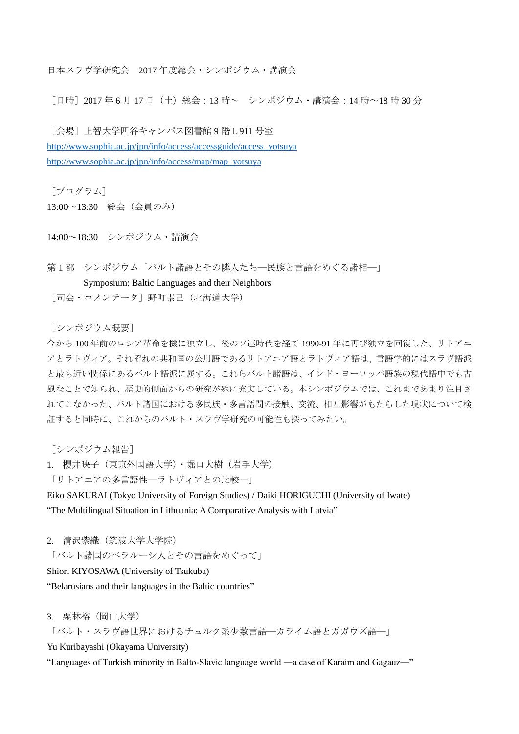日本スラヴ学研究会 2017 年度総会・シンポジウム・講演会

「日時] 2017 年 6 月 17 日 (土) 総会: 13 時~ シンポジウム・講演会:14 時~18 時 30 分

[会場]上智大学四谷キャンパス図書館 9 階L911 号室 [http://www.sophia.ac.jp/jpn/info/access/accessguide/access\\_yotsuya](http://www.sophia.ac.jp/jpn/info/access/accessguide/access_yotsuya) [http://www.sophia.ac.jp/jpn/info/access/map/map\\_yotsuya](http://www.sophia.ac.jp/jpn/info/access/map/map_yotsuya)

[プログラム]

13:00~13:30 総会(会員のみ)

14:00~18:30 シンポジウム・講演会

第1部 シンポジウム「バルト諸語とその隣人たち––民族と言語をめぐる諸相––

#### Symposium: Baltic Languages and their Neighbors

「司会・コメンテータ]野町素己(北海道大学)

[シンポジウム概要]

今から 100 年前のロシア革命を機に独立し、後のソ連時代を経て 1990-91 年に再び独立を回復した、リトアニ アとラトヴィア。それぞれの共和国の公用語であるリトアニア語とラトヴィア語は、言語学的にはスラヴ語派 と最も近い関係にあるバルト語派に属する。これらバルト諸語は、インド・ヨーロッパ語族の現代語中でも古 風なことで知られ、歴史的側面からの研究が殊に充実している。本シンポジウムでは、これまであまり注目さ れてこなかった、バルト諸国における多民族・多言語間の接触、交流、相互影響がもたらした現状について検 証すると同時に、これからのバルト・スラヴ学研究の可能性も探ってみたい。

[シンポジウム報告]

1. 櫻井映子(東京外国語大学) · 堀口大樹(岩手大学)

「リトアニアの多言語性―ラトヴィアとの比較―」

Eiko SAKURAI (Tokyo University of Foreign Studies) / Daiki HORIGUCHI (University of Iwate)

"The Multilingual Situation in Lithuania: A Comparative Analysis with Latvia"

2. 清沢紫織(筑波大学大学院)

「バルト諸国のベラルーシ人とその言語をめぐって」

Shiori KIYOSAWA (University of Tsukuba)

"Belarusians and their languages in the Baltic countries"

3. 栗林裕(岡山大学)

「バルト・スラヴ語世界におけるチュルク系少数言語―カライム語とガガウズ語―」

Yu Kuribayashi (Okayama University)

"Languages of Turkish minority in Balto-Slavic language world ―a case of Karaim and Gagauz―"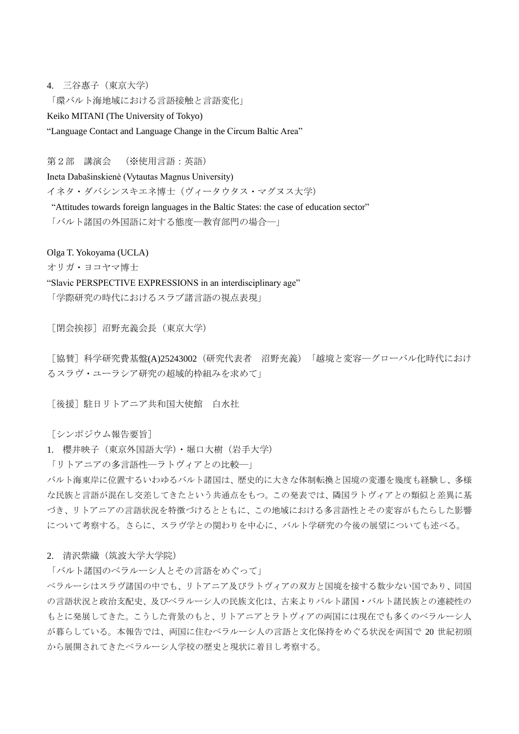4. 三谷惠子(東京大学)

「環バルト海地域における言語接触と言語変化」

Keiko MITANI (The University of Tokyo)

"Language Contact and Language Change in the Circum Baltic Area"

第2部 講演会 (※使用言語:英語)

Ineta Dabašinskienė (Vytautas Magnus University)

イネタ・ダバシンスキエネ博士(ヴィータウタス・マグヌス大学)

"Attitudes towards foreign languages in the Baltic States: the case of education sector"

「バルト諸国の外国語に対する態度―教育部門の場合―」

Olga T. Yokoyama (UCLA)

オリガ・ヨコヤマ博士

"Slavic PERSPECTIVE EXPRESSIONS in an interdisciplinary age"

「学際研究の時代におけるスラブ諸言語の視点表現」

[閉会挨拶]沼野充義会長(東京大学)

[協賛]科学研究費基盤(A)25243002(研究代表者 沼野充義)「越境と変容―グローバル化時代におけ るスラヴ・ユーラシア研究の超域的枠組みを求めて」

「後援] 駐日リトアニア共和国大使館 白水社

[シンポジウム報告要旨]

1. 櫻井映子(東京外国語大学)・堀口大樹(岩手大学)

「リトアニアの多言語性―ラトヴィアとの比較―」

バルト海東岸に位置するいわゆるバルト諸国は、歴史的に大きな体制転換と国境の変遷を幾度も経験し、多様 な民族と言語が混在し交差してきたという共通点をもつ。この発表では、隣国ラトヴィアとの類似と差異に基 づき、リトアニアの言語状況を特徴づけるとともに、この地域における多言語性とその変容がもたらした影響 について考察する。さらに、スラヴ学との関わりを中心に、バルト学研究の今後の展望についても述べる。

2. 清沢紫織(筑波大学大学院)

「バルト諸国のベラルーシ人とその言語をめぐって」

ベラルーシはスラヴ諸国の中でも、リトアニア及びラトヴィアの双方と国境を接する数少ない国であり、同国 の言語状況と政治支配史、及びベラルーシ人の民族文化は、古来よりバルト諸国・バルト諸民族との連続性の もとに発展してきた。こうした背景のもと、リトアニアとラトヴィアの両国には現在でも多くのベラルーシ人 が暮らしている。本報告では、両国に住むベラルーシ人の言語と文化保持をめぐる状況を両国で 20 世紀初頭 から展開されてきたベラルーシ人学校の歴史と現状に着目し考察する。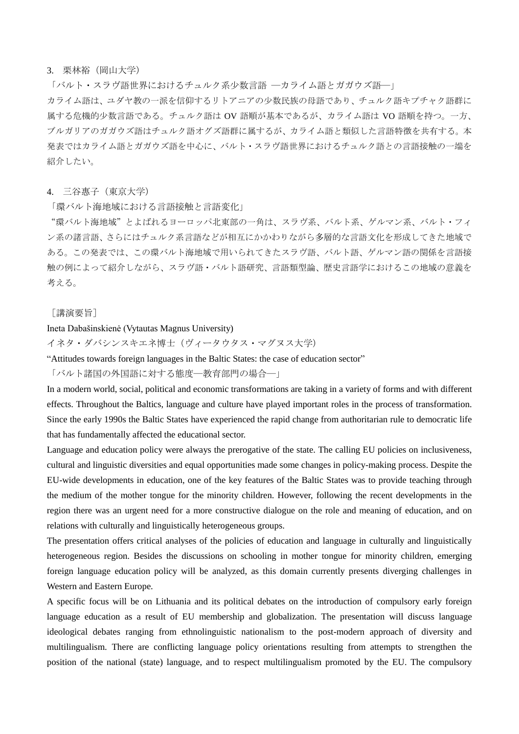#### 3. 栗林裕(岡山大学)

「バルト・スラヴ語世界におけるチュルク系少数言語 ―カライム語とガガウズ語―」

カライム語は、ユダヤ教の一派を信仰するリトアニアの少数民族の母語であり、チュルク語キプチャク語群に 属する危機的少数言語である。チュルク語は OV 語順が基本であるが、カライム語は VO 語順を持つ。一方、 ブルガリアのガガウズ語はチュルク語オグズ語群に属するが、カライム語と類似した言語特徴を共有する。本 発表ではカライム語とガガウズ語を中心に、バルト・スラヴ語世界におけるチュルク語との言語接触の一端を 紹介したい。

#### 4. 三谷惠子(東京大学)

「環バルト海地域における言語接触と言語変化」

"環バルト海地域"とよばれるヨーロッパ北東部の一角は、スラヴ系、バルト系、ゲルマン系、バルト・フィ ン系の諸言語、さらにはチュルク系言語などが相互にかかわりながら多層的な言語文化を形成してきた地域で ある。この発表では、この環バルト海地域で用いられてきたスラヴ語、バルト語、ゲルマン語の関係を言語接 触の例によって紹介しながら、スラヴ語・バルト語研究、言語類型論、歴史言語学におけるこの地域の意義を 考える。

#### [講演要旨]

## Ineta Dabašinskienė (Vytautas Magnus University)

イネタ・ダバシンスキエネ博士(ヴィータウタス・マグヌス大学)

"Attitudes towards foreign languages in the Baltic States: the case of education sector"

「バルト諸国の外国語に対する態度―教育部門の場合―」

In a modern world, social, political and economic transformations are taking in a variety of forms and with different effects. Throughout the Baltics, language and culture have played important roles in the process of transformation. Since the early 1990s the Baltic States have experienced the rapid change from authoritarian rule to democratic life that has fundamentally affected the educational sector.

Language and education policy were always the prerogative of the state. The calling EU policies on inclusiveness, cultural and linguistic diversities and equal opportunities made some changes in policy-making process. Despite the EU-wide developments in education, one of the key features of the Baltic States was to provide teaching through the medium of the mother tongue for the minority children. However, following the recent developments in the region there was an urgent need for a more constructive dialogue on the role and meaning of education, and on relations with culturally and linguistically heterogeneous groups.

The presentation offers critical analyses of the policies of education and language in culturally and linguistically heterogeneous region. Besides the discussions on schooling in mother tongue for minority children, emerging foreign language education policy will be analyzed, as this domain currently presents diverging challenges in Western and Eastern Europe.

A specific focus will be on Lithuania and its political debates on the introduction of compulsory early foreign language education as a result of EU membership and globalization. The presentation will discuss language ideological debates ranging from ethnolinguistic nationalism to the post-modern approach of diversity and multilingualism. There are conflicting language policy orientations resulting from attempts to strengthen the position of the national (state) language, and to respect multilingualism promoted by the EU. The compulsory